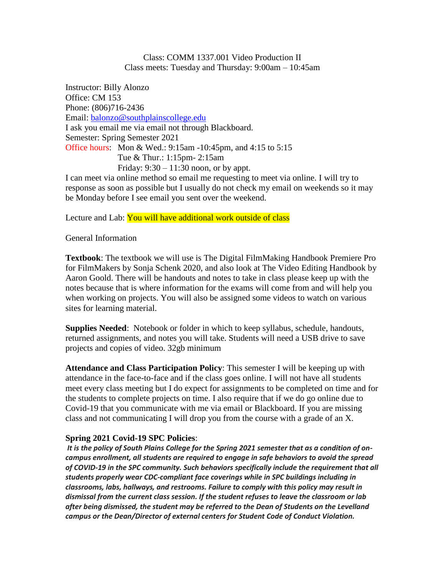Class: COMM 1337.001 Video Production II Class meets: Tuesday and Thursday: 9:00am – 10:45am

Instructor: Billy Alonzo Office: CM 153 Phone: (806)716-2436 Email: [balonzo@southplainscollege.edu](mailto:balonzo@southplainscollege.edu) I ask you email me via email not through Blackboard. Semester: Spring Semester 2021 Office hours: Mon & Wed.: 9:15am -10:45pm, and 4:15 to 5:15 Tue & Thur.: 1:15pm- 2:15am Friday:  $9:30 - 11:30$  noon, or by appt.

I can meet via online method so email me requesting to meet via online. I will try to response as soon as possible but I usually do not check my email on weekends so it may be Monday before I see email you sent over the weekend.

Lecture and Lab: You will have additional work outside of class

General Information

**Textbook**: The textbook we will use is The Digital FilmMaking Handbook Premiere Pro for FilmMakers by Sonja Schenk 2020, and also look at The Video Editing Handbook by Aaron Goold. There will be handouts and notes to take in class please keep up with the notes because that is where information for the exams will come from and will help you when working on projects. You will also be assigned some videos to watch on various sites for learning material.

**Supplies Needed**: Notebook or folder in which to keep syllabus, schedule, handouts, returned assignments, and notes you will take. Students will need a USB drive to save projects and copies of video. 32gb minimum

**Attendance and Class Participation Policy**: This semester I will be keeping up with attendance in the face-to-face and if the class goes online. I will not have all students meet every class meeting but I do expect for assignments to be completed on time and for the students to complete projects on time. I also require that if we do go online due to Covid-19 that you communicate with me via email or Blackboard. If you are missing class and not communicating I will drop you from the course with a grade of an X.

# **Spring 2021 Covid-19 SPC Policies**:

*It is the policy of South Plains College for the Spring 2021 semester that as a condition of oncampus enrollment, all students are required to engage in safe behaviors to avoid the spread of COVID-19 in the SPC community. Such behaviors specifically include the requirement that all students properly wear CDC-compliant face coverings while in SPC buildings including in classrooms, labs, hallways, and restrooms. Failure to comply with this policy may result in dismissal from the current class session. If the student refuses to leave the classroom or lab after being dismissed, the student may be referred to the Dean of Students on the Levelland campus or the Dean/Director of external centers for Student Code of Conduct Violation.*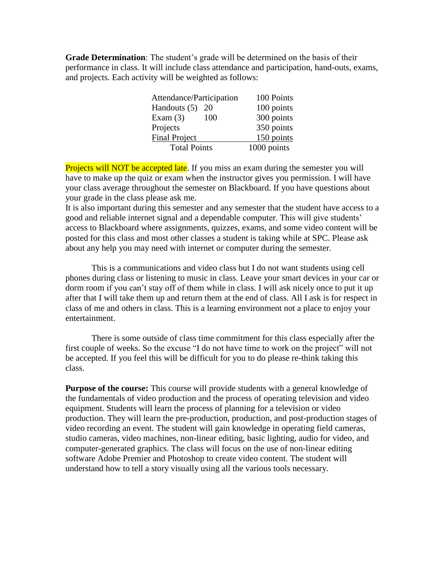**Grade Determination**: The student's grade will be determined on the basis of their performance in class. It will include class attendance and participation, hand-outs, exams, and projects. Each activity will be weighted as follows:

| Attendance/Participation | 100 Points  |
|--------------------------|-------------|
| Handouts (5)<br>20       | 100 points  |
| Exam $(3)$<br>100        | 300 points  |
| Projects                 | 350 points  |
| <b>Final Project</b>     | 150 points  |
| <b>Total Points</b>      | 1000 points |

Projects will NOT be accepted late. If you miss an exam during the semester you will have to make up the quiz or exam when the instructor gives you permission. I will have your class average throughout the semester on Blackboard. If you have questions about your grade in the class please ask me.

It is also important during this semester and any semester that the student have access to a good and reliable internet signal and a dependable computer. This will give students' access to Blackboard where assignments, quizzes, exams, and some video content will be posted for this class and most other classes a student is taking while at SPC. Please ask about any help you may need with internet or computer during the semester.

This is a communications and video class but I do not want students using cell phones during class or listening to music in class. Leave your smart devices in your car or dorm room if you can't stay off of them while in class. I will ask nicely once to put it up after that I will take them up and return them at the end of class. All I ask is for respect in class of me and others in class. This is a learning environment not a place to enjoy your entertainment.

There is some outside of class time commitment for this class especially after the first couple of weeks. So the excuse "I do not have time to work on the project" will not be accepted. If you feel this will be difficult for you to do please re-think taking this class.

**Purpose of the course:** This course will provide students with a general knowledge of the fundamentals of video production and the process of operating television and video equipment. Students will learn the process of planning for a television or video production. They will learn the pre-production, production, and post-production stages of video recording an event. The student will gain knowledge in operating field cameras, studio cameras, video machines, non-linear editing, basic lighting, audio for video, and computer-generated graphics. The class will focus on the use of non-linear editing software Adobe Premier and Photoshop to create video content. The student will understand how to tell a story visually using all the various tools necessary.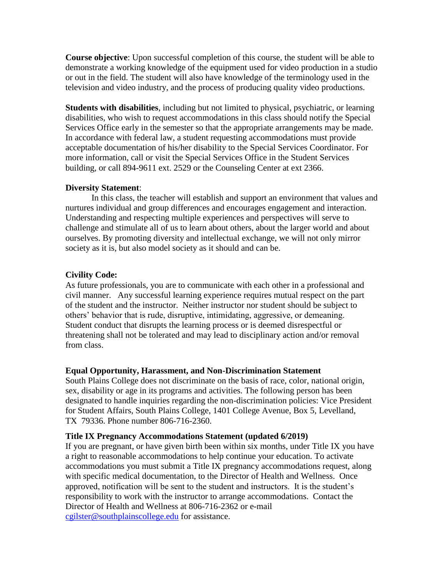**Course objective**: Upon successful completion of this course, the student will be able to demonstrate a working knowledge of the equipment used for video production in a studio or out in the field. The student will also have knowledge of the terminology used in the television and video industry, and the process of producing quality video productions.

**Students with disabilities**, including but not limited to physical, psychiatric, or learning disabilities, who wish to request accommodations in this class should notify the Special Services Office early in the semester so that the appropriate arrangements may be made. In accordance with federal law, a student requesting accommodations must provide acceptable documentation of his/her disability to the Special Services Coordinator. For more information, call or visit the Special Services Office in the Student Services building, or call 894-9611 ext. 2529 or the Counseling Center at ext 2366.

# **Diversity Statement**:

In this class, the teacher will establish and support an environment that values and nurtures individual and group differences and encourages engagement and interaction. Understanding and respecting multiple experiences and perspectives will serve to challenge and stimulate all of us to learn about others, about the larger world and about ourselves. By promoting diversity and intellectual exchange, we will not only mirror society as it is, but also model society as it should and can be.

## **Civility Code:**

As future professionals, you are to communicate with each other in a professional and civil manner. Any successful learning experience requires mutual respect on the part of the student and the instructor. Neither instructor nor student should be subject to others' behavior that is rude, disruptive, intimidating, aggressive, or demeaning. Student conduct that disrupts the learning process or is deemed disrespectful or threatening shall not be tolerated and may lead to disciplinary action and/or removal from class.

## **Equal Opportunity, Harassment, and Non-Discrimination Statement**

South Plains College does not discriminate on the basis of race, color, national origin, sex, disability or age in its programs and activities. The following person has been designated to handle inquiries regarding the non-discrimination policies: Vice President for Student Affairs, South Plains College, 1401 College Avenue, Box 5, Levelland, TX 79336. Phone number 806-716-2360.

## **Title IX Pregnancy Accommodations Statement (updated 6/2019)**

If you are pregnant, or have given birth been within six months, under Title IX you have a right to reasonable accommodations to help continue your education. To activate accommodations you must submit a Title IX pregnancy accommodations request, along with specific medical documentation, to the Director of Health and Wellness. Once approved, notification will be sent to the student and instructors. It is the student's responsibility to work with the instructor to arrange accommodations. Contact the Director of Health and Wellness at 806-716-2362 or e-mail [cgilster@southplainscollege.edu](mailto:cgilster@southplainscollege.edu) for assistance.